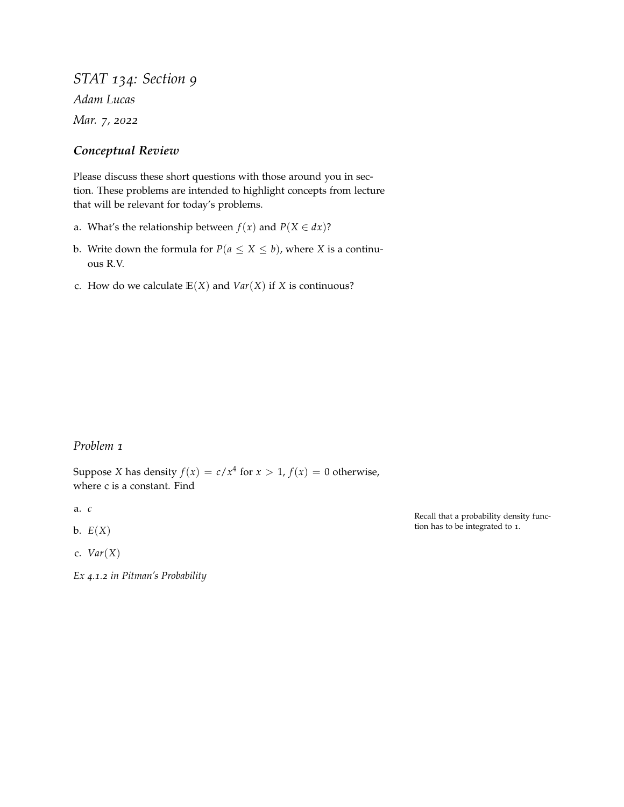*STAT 134: Section 9 Adam Lucas Mar. 7, 2022*

## *Conceptual Review*

Please discuss these short questions with those around you in section. These problems are intended to highlight concepts from lecture that will be relevant for today's problems.

- a. What's the relationship between  $f(x)$  and  $P(X \in dx)$ ?
- b. Write down the formula for  $P(a \le X \le b)$ , where *X* is a continuous R.V.
- c. How do we calculate  $E(X)$  and  $Var(X)$  if *X* is continuous?

## *Problem 1*

Suppose *X* has density  $f(x) = c/x^4$  for  $x > 1$ ,  $f(x) = 0$  otherwise, where c is a constant. Find

a. *c*

- b.  $E(X)$
- c. *Var*(*X*)

*Ex 4.1.2 in Pitman's Probability*

Recall that a probability density function has to be integrated to 1.